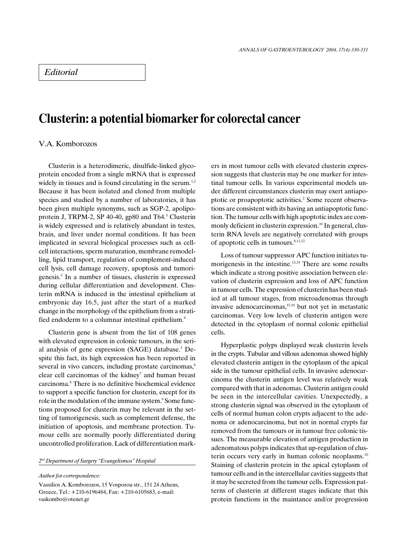## Editorial

# Clusterin: a potential biomarker for colorectal cancer

### V.A. Komborozos

Clusterin is a heterodimeric, disulfide-linked glycoprotein encoded from a single mRNA that is expressed widely in tissues and is found circulating in the serum.<sup>1,2</sup> Because it has been isolated and cloned from multiple species and studied by a number of laboratories, it has been given multiple synonyms, such as SGP-2, apolipoprotein J, TRPM-2, SP 40-40, gp80 and T64.<sup>3</sup> Clusterin is widely expressed and is relatively abundant in testes, brain, and liver under normal conditions. It has been implicated in several biological processes such as cellcell interactions, sperm maturation, membrane remodelling, lipid transport, regulation of complement-induced cell lysis, cell damage recovery, apoptosis and tumorigenesis.2 In a number of tissues, clusterin is expressed during cellular differentiation and development. Clusterin mRNA is induced in the intestinal epithelium at embryonic day 16.5, just after the start of a marked change in the morphology of the epithelium from a stratified endoderm to a columnar intestinal epithelium.<sup>4</sup>

Clusterin gene is absent from the list of 108 genes with elevated expression in colonic tumours, in the serial analysis of gene expression (SAGE) database.<sup>5</sup> Despite this fact, its high expression has been reported in several in vivo cancers, including prostate carcinomas,<sup>6</sup> clear cell carcinomas of the kidney<sup>7</sup> and human breast carcinoma.8 There is no definitive biochemical evidence to support a specific function for clusterin, except for its role in the modulation of the immune system.<sup>9</sup> Some functions proposed for clusterin may be relevant in the setting of tumorigenesis, such as complement defense, the initiation of apoptosis, and membrane protection. Tumour cells are normally poorly differentiated during uncontrolled proliferation. Lack of differentiation mark-

#### 2<sup>nd</sup> Department of Surgery "Evangelismos" Hospital

#### Author for correspondence:

Vassilios A. Komborozos, 15 Vosporou str., 151 24 Athens, Greece, Tel.: +210-6196484, Fax: +210-6105683, e-mail: vaskombo@otenet.gr

ers in most tumour cells with elevated clusterin expression suggests that clusterin may be one marker for intestinal tumour cells. In various experimental models under different circumstances clusterin may exert antiapoptotic or proapoptotic activities.<sup>2</sup> Some recent observations are consistent with its having an antiapoptotic function. The tumour cells with high apoptotic index are commonly deficient in clusterin expression.<sup>10</sup> In general, clusterin RNA levels are negatively correlated with groups of apoptotic cells in tumours.<sup>8,11,12</sup>

Loss of tumour suppressor APC function initiates tumorigenesis in the intestine.<sup>13,14</sup> There are some results which indicate a strong positive association between elevation of clusterin expression and loss of APC function in tumour cells. The expression of clusterin has been studied at all tumour stages, from microadenomas through invasive adenocarcinomas,<sup>15,16</sup> but not yet in metastatic carcinomas. Very low levels of clusterin antigen were detected in the cytoplasm of normal colonic epithelial cells.

Hyperplastic polyps displayed weak clusterin levels in the crypts. Tubular and villous adenomas showed highly elevated clusterin antigen in the cytoplasm of the apical side in the tumour epithelial cells. In invasive adenocarcinoma the clusterin antigen level was relatively weak compared with that in adenomas. Clusterin antigen could be seen in the intercellular cavities. Unexpectedly, a strong clusterin signal was observed in the cytoplasm of cells of normal human colon crypts adjacent to the adenoma or adenocarcinoma, but not in normal crypts far removed from the tumours or in tumour free colonic tissues. The measurable elevation of antigen production in adenomatous polyps indicates that up-regulation of clusterin occurs very early in human colonic neoplasms. $10$ Staining of clusterin protein in the apical cytoplasm of tumour cells and in the intercellular cavities suggests that it may be secreted from the tumour cells. Expression patterns of clusterin at different stages indicate that this protein functions in the maintance and/or progression